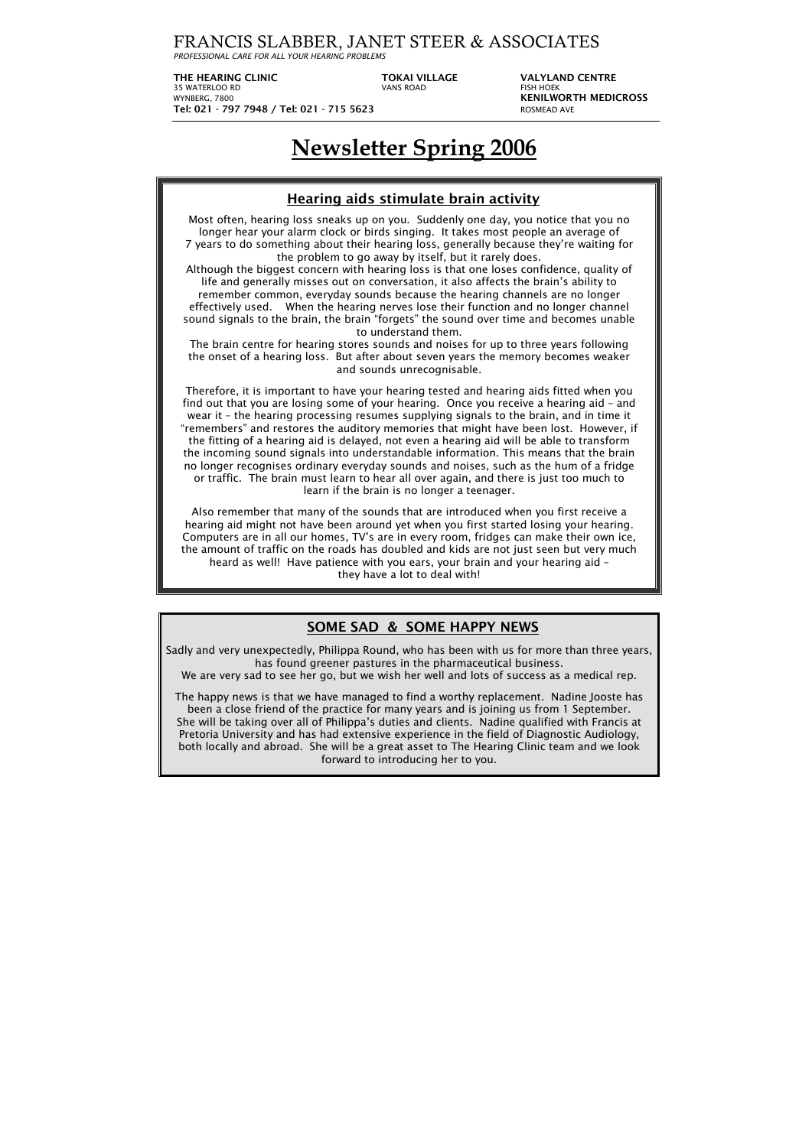FRANCIS SLABBER, JANET STEER & ASSOCIATES

*PROFESSIONAL CARE FOR ALL YOUR HEARING PROBLEMS*

**THE HEARING CLINIC TOKAI VILLAGE VALYLAND CENTRE**  35 WATERLOO RD WYNBERG, 7800 **KENILWORTH MEDICROSS Tel: 021 - 797 7948 / Tel: 021 - 715 5623** ROSMEAD AVE

## **Newsletter Spring 2006**

| <b>Hearing aids stimulate brain activity</b>                                                                                                                                                                                                                                                                                                                                                                                                                                                                                                                                                                                                                                                                                                                                                                                                                                                                                                                                                                         |  |  |  |
|----------------------------------------------------------------------------------------------------------------------------------------------------------------------------------------------------------------------------------------------------------------------------------------------------------------------------------------------------------------------------------------------------------------------------------------------------------------------------------------------------------------------------------------------------------------------------------------------------------------------------------------------------------------------------------------------------------------------------------------------------------------------------------------------------------------------------------------------------------------------------------------------------------------------------------------------------------------------------------------------------------------------|--|--|--|
| Most often, hearing loss sneaks up on you. Suddenly one day, you notice that you no<br>longer hear your alarm clock or birds singing. It takes most people an average of<br>7 years to do something about their hearing loss, generally because they're waiting for<br>the problem to go away by itself, but it rarely does.<br>Although the biggest concern with hearing loss is that one loses confidence, quality of<br>life and generally misses out on conversation, it also affects the brain's ability to<br>remember common, everyday sounds because the hearing channels are no longer<br>effectively used. When the hearing nerves lose their function and no longer channel<br>sound signals to the brain, the brain "forgets" the sound over time and becomes unable<br>to understand them.<br>The brain centre for hearing stores sounds and noises for up to three years following<br>the onset of a hearing loss. But after about seven years the memory becomes weaker<br>and sounds unrecognisable. |  |  |  |
| Therefore, it is important to have your hearing tested and hearing aids fitted when you<br>find out that you are losing some of your hearing. Once you receive a hearing aid - and<br>wear it – the hearing processing resumes supplying signals to the brain, and in time it<br>"remembers" and restores the auditory memories that might have been lost. However, if<br>the fitting of a hearing aid is delayed, not even a hearing aid will be able to transform<br>the incoming sound signals into understandable information. This means that the brain<br>no longer recognises ordinary everyday sounds and noises, such as the hum of a fridge<br>or traffic. The brain must learn to hear all over again, and there is just too much to<br>learn if the brain is no longer a teenager.                                                                                                                                                                                                                       |  |  |  |
| Also remember that many of the sounds that are introduced when you first receive a<br>hearing aid might not have been around yet when you first started losing your hearing.<br>Computers are in all our homes, TV's are in every room, fridges can make their own ice,<br>the amount of traffic on the roads has doubled and kids are not just seen but very much<br>heard as well! Have patience with you ears, your brain and your hearing aid -<br>they have a lot to deal with!                                                                                                                                                                                                                                                                                                                                                                                                                                                                                                                                 |  |  |  |

## **SOME SAD & SOME HAPPY NEWS**

Sadly and very unexpectedly, Philippa Round, who has been with us for more than three years, has found greener pastures in the pharmaceutical business.

We are very sad to see her go, but we wish her well and lots of success as a medical rep.

The happy news is that we have managed to find a worthy replacement. Nadine Jooste has been a close friend of the practice for many years and is joining us from 1 September. She will be taking over all of Philippa's duties and clients. Nadine qualified with Francis at Pretoria University and has had extensive experience in the field of Diagnostic Audiology, both locally and abroad. She will be a great asset to The Hearing Clinic team and we look forward to introducing her to you.